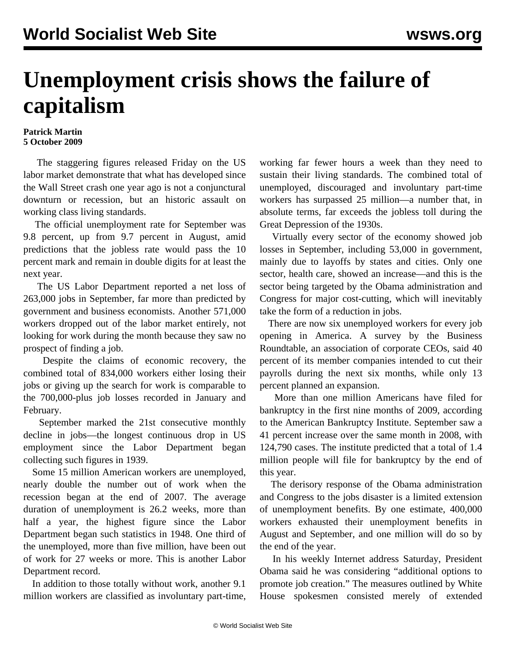## **Unemployment crisis shows the failure of capitalism**

## **Patrick Martin 5 October 2009**

 The staggering figures released Friday on the US labor market demonstrate that what has developed since the Wall Street crash one year ago is not a conjunctural downturn or recession, but an historic assault on working class living standards.

 The official unemployment rate for September was 9.8 percent, up from 9.7 percent in August, amid predictions that the jobless rate would pass the 10 percent mark and remain in double digits for at least the next year.

 The US Labor Department reported a net loss of 263,000 jobs in September, far more than predicted by government and business economists. Another 571,000 workers dropped out of the labor market entirely, not looking for work during the month because they saw no prospect of finding a job.

 Despite the claims of economic recovery, the combined total of 834,000 workers either losing their jobs or giving up the search for work is comparable to the 700,000-plus job losses recorded in January and February.

 September marked the 21st consecutive monthly decline in jobs—the longest continuous drop in US employment since the Labor Department began collecting such figures in 1939.

 Some 15 million American workers are unemployed, nearly double the number out of work when the recession began at the end of 2007. The average duration of unemployment is 26.2 weeks, more than half a year, the highest figure since the Labor Department began such statistics in 1948. One third of the unemployed, more than five million, have been out of work for 27 weeks or more. This is another Labor Department record.

 In addition to those totally without work, another 9.1 million workers are classified as involuntary part-time, working far fewer hours a week than they need to sustain their living standards. The combined total of unemployed, discouraged and involuntary part-time workers has surpassed 25 million—a number that, in absolute terms, far exceeds the jobless toll during the Great Depression of the 1930s.

 Virtually every sector of the economy showed job losses in September, including 53,000 in government, mainly due to layoffs by states and cities. Only one sector, health care, showed an increase—and this is the sector being targeted by the Obama administration and Congress for major cost-cutting, which will inevitably take the form of a reduction in jobs.

 There are now six unemployed workers for every job opening in America. A survey by the Business Roundtable, an association of corporate CEOs, said 40 percent of its member companies intended to cut their payrolls during the next six months, while only 13 percent planned an expansion.

 More than one million Americans have filed for bankruptcy in the first nine months of 2009, according to the American Bankruptcy Institute. September saw a 41 percent increase over the same month in 2008, with 124,790 cases. The institute predicted that a total of 1.4 million people will file for bankruptcy by the end of this year.

 The derisory response of the Obama administration and Congress to the jobs disaster is a limited extension of unemployment benefits. By one estimate, 400,000 workers exhausted their unemployment benefits in August and September, and one million will do so by the end of the year.

 In his weekly Internet address Saturday, President Obama said he was considering "additional options to promote job creation." The measures outlined by White House spokesmen consisted merely of extended